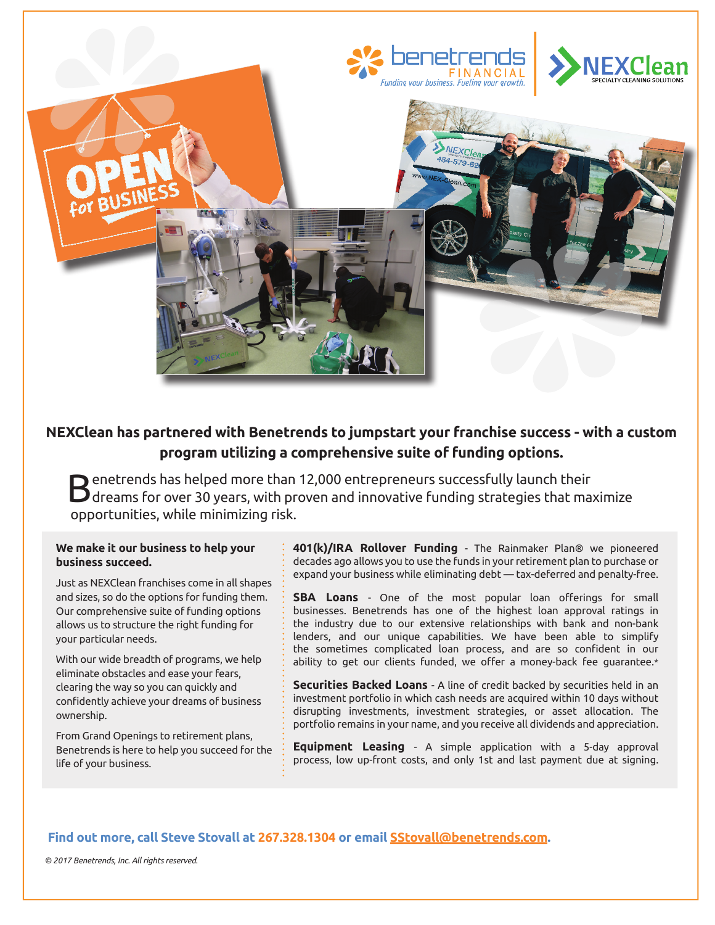

# **NEXClean has partnered with Benetrends to jumpstart your franchise success - with a custom program utilizing a comprehensive suite of funding options.**

Benetrends has helped more than 12,000 entrepreneurs successfully launch their dreams for over 30 years, with proven and innovative funding strategies that maximize opportunities, while minimizing risk.

#### **We make it our business to help your business succeed.**

Just as NEXClean franchises come in all shapes and sizes, so do the options for funding them. Our comprehensive suite of funding options allows us to structure the right funding for your particular needs.

With our wide breadth of programs, we help eliminate obstacles and ease your fears, clearing the way so you can quickly and confidently achieve your dreams of business ownership.

From Grand Openings to retirement plans, Benetrends is here to help you succeed for the life of your business.

**401(k)/IRA Rollover Funding** - The Rainmaker Plan® we pioneered decades ago allows you to use the funds in your retirement plan to purchase or expand your business while eliminating debt — tax-deferred and penalty-free.

**SBA Loans** - One of the most popular loan offerings for small businesses. Benetrends has one of the highest loan approval ratings in the industry due to our extensive relationships with bank and non-bank lenders, and our unique capabilities. We have been able to simplify the sometimes complicated loan process, and are so confident in our ability to get our clients funded, we offer a money-back fee guarantee.\*

**Securities Backed Loans** - A line of credit backed by securities held in an investment portfolio in which cash needs are acquired within 10 days without disrupting investments, investment strategies, or asset allocation. The portfolio remains in your name, and you receive all dividends and appreciation.

**Equipment Leasing** - A simple application with a 5-day approval process, low up-front costs, and only 1st and last payment due at signing.

## **Find out more, call Steve Stovall at 267.328.1304 or email SStovall@benetrends.com.**